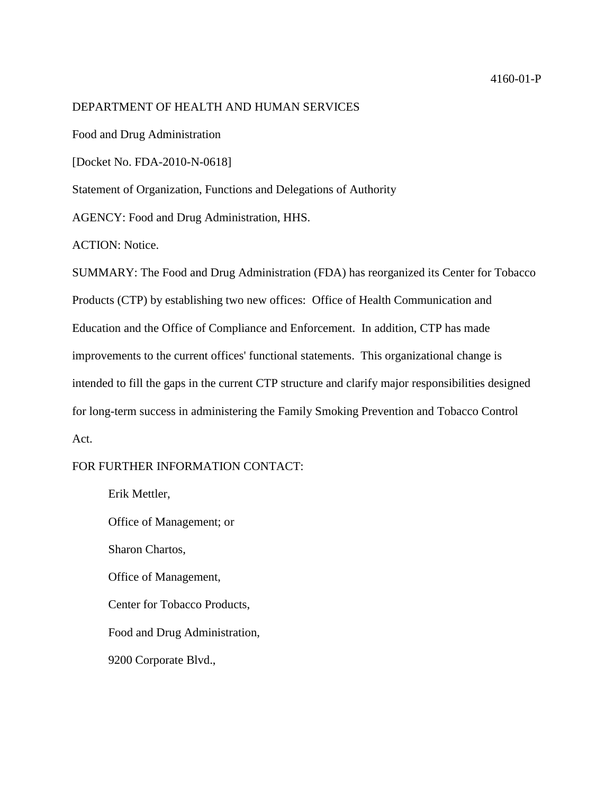#### 4160-01-P

### DEPARTMENT OF HEALTH AND HUMAN SERVICES

Food and Drug Administration

[Docket No. FDA-2010-N-0618]

Statement of Organization, Functions and Delegations of Authority

AGENCY: Food and Drug Administration, HHS.

ACTION: Notice.

SUMMARY: The Food and Drug Administration (FDA) has reorganized its Center for Tobacco Products (CTP) by establishing two new offices: Office of Health Communication and Education and the Office of Compliance and Enforcement. In addition, CTP has made improvements to the current offices' functional statements. This organizational change is intended to fill the gaps in the current CTP structure and clarify major responsibilities designed for long-term success in administering the Family Smoking Prevention and Tobacco Control Act.

## FOR FURTHER INFORMATION CONTACT:

Erik Mettler, Office of Management; or Sharon Chartos, Office of Management, Center for Tobacco Products, Food and Drug Administration, 9200 Corporate Blvd.,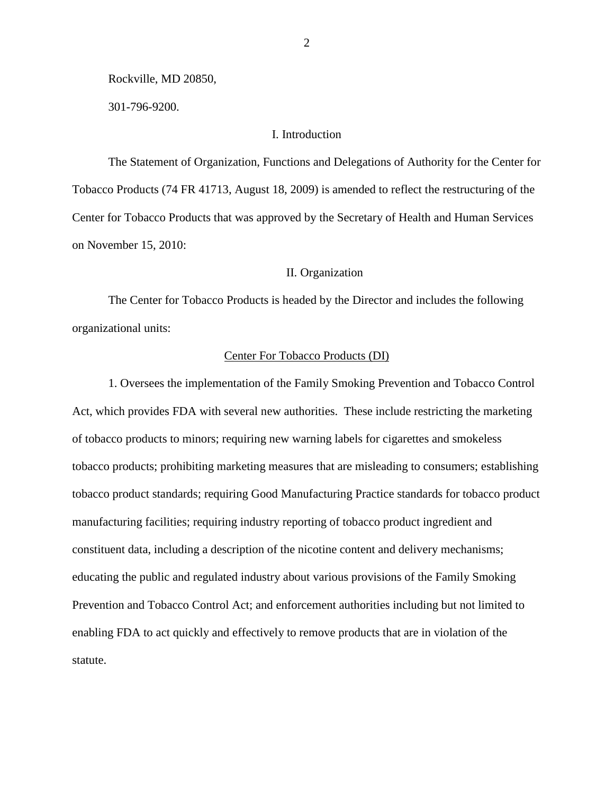Rockville, MD 20850,

301-796-9200.

# I. Introduction

The Statement of Organization, Functions and Delegations of Authority for the Center for Tobacco Products (74 FR 41713, August 18, 2009) is amended to reflect the restructuring of the Center for Tobacco Products that was approved by the Secretary of Health and Human Services on November 15, 2010:

# II. Organization

The Center for Tobacco Products is headed by the Director and includes the following organizational units:

### Center For Tobacco Products (DI)

1. Oversees the implementation of the Family Smoking Prevention and Tobacco Control Act, which provides FDA with several new authorities. These include restricting the marketing of tobacco products to minors; requiring new warning labels for cigarettes and smokeless tobacco products; prohibiting marketing measures that are misleading to consumers; establishing tobacco product standards; requiring Good Manufacturing Practice standards for tobacco product manufacturing facilities; requiring industry reporting of tobacco product ingredient and constituent data, including a description of the nicotine content and delivery mechanisms; educating the public and regulated industry about various provisions of the Family Smoking Prevention and Tobacco Control Act; and enforcement authorities including but not limited to enabling FDA to act quickly and effectively to remove products that are in violation of the statute.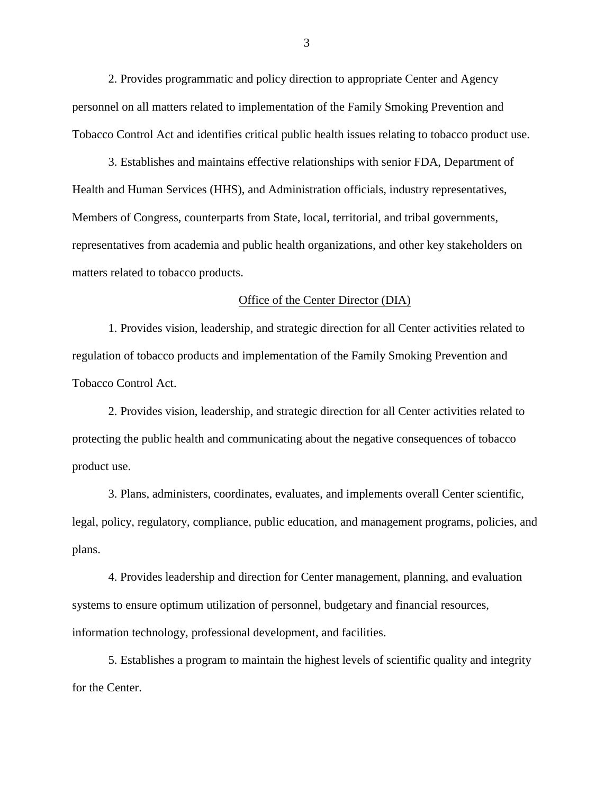2. Provides programmatic and policy direction to appropriate Center and Agency personnel on all matters related to implementation of the Family Smoking Prevention and Tobacco Control Act and identifies critical public health issues relating to tobacco product use.

3. Establishes and maintains effective relationships with senior FDA, Department of Health and Human Services (HHS), and Administration officials, industry representatives, Members of Congress, counterparts from State, local, territorial, and tribal governments, representatives from academia and public health organizations, and other key stakeholders on matters related to tobacco products.

#### Office of the Center Director (DIA)

1. Provides vision, leadership, and strategic direction for all Center activities related to regulation of tobacco products and implementation of the Family Smoking Prevention and Tobacco Control Act.

2. Provides vision, leadership, and strategic direction for all Center activities related to protecting the public health and communicating about the negative consequences of tobacco product use.

3. Plans, administers, coordinates, evaluates, and implements overall Center scientific, legal, policy, regulatory, compliance, public education, and management programs, policies, and plans.

4. Provides leadership and direction for Center management, planning, and evaluation systems to ensure optimum utilization of personnel, budgetary and financial resources, information technology, professional development, and facilities.

5. Establishes a program to maintain the highest levels of scientific quality and integrity for the Center.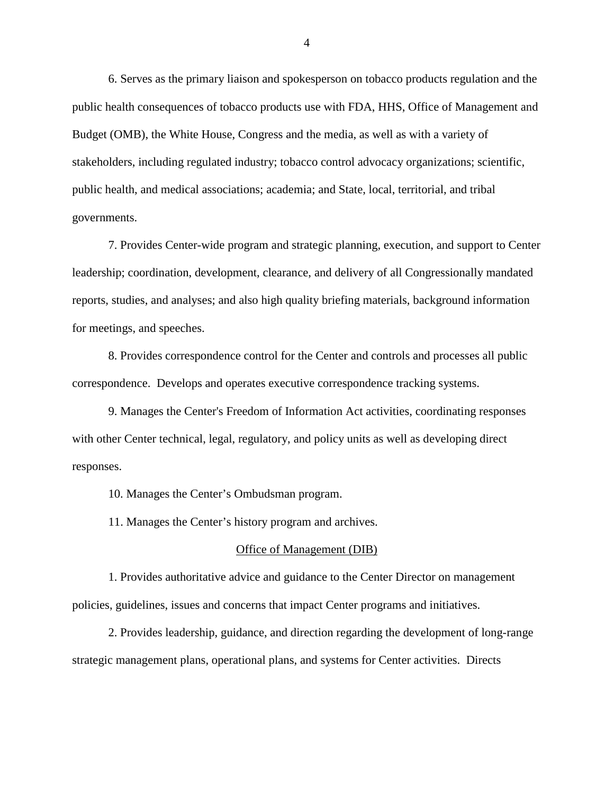6. Serves as the primary liaison and spokesperson on tobacco products regulation and the public health consequences of tobacco products use with FDA, HHS, Office of Management and Budget (OMB), the White House, Congress and the media, as well as with a variety of stakeholders, including regulated industry; tobacco control advocacy organizations; scientific, public health, and medical associations; academia; and State, local, territorial, and tribal governments.

7. Provides Center-wide program and strategic planning, execution, and support to Center leadership; coordination, development, clearance, and delivery of all Congressionally mandated reports, studies, and analyses; and also high quality briefing materials, background information for meetings, and speeches.

8. Provides correspondence control for the Center and controls and processes all public correspondence. Develops and operates executive correspondence tracking systems.

9. Manages the Center's Freedom of Information Act activities, coordinating responses with other Center technical, legal, regulatory, and policy units as well as developing direct responses.

10. Manages the Center's Ombudsman program.

11. Manages the Center's history program and archives.

#### Office of Management (DIB)

1. Provides authoritative advice and guidance to the Center Director on management policies, guidelines, issues and concerns that impact Center programs and initiatives.

2. Provides leadership, guidance, and direction regarding the development of long-range strategic management plans, operational plans, and systems for Center activities. Directs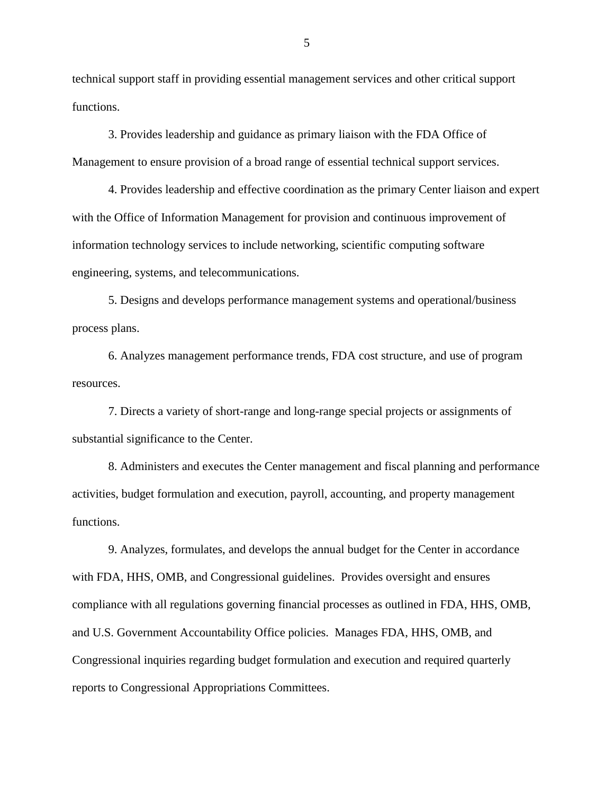technical support staff in providing essential management services and other critical support functions.

3. Provides leadership and guidance as primary liaison with the FDA Office of Management to ensure provision of a broad range of essential technical support services.

4. Provides leadership and effective coordination as the primary Center liaison and expert with the Office of Information Management for provision and continuous improvement of information technology services to include networking, scientific computing software engineering, systems, and telecommunications.

5. Designs and develops performance management systems and operational/business process plans.

6. Analyzes management performance trends, FDA cost structure, and use of program resources.

7. Directs a variety of short-range and long-range special projects or assignments of substantial significance to the Center.

8. Administers and executes the Center management and fiscal planning and performance activities, budget formulation and execution, payroll, accounting, and property management functions.

9. Analyzes, formulates, and develops the annual budget for the Center in accordance with FDA, HHS, OMB, and Congressional guidelines. Provides oversight and ensures compliance with all regulations governing financial processes as outlined in FDA, HHS, OMB, and U.S. Government Accountability Office policies. Manages FDA, HHS, OMB, and Congressional inquiries regarding budget formulation and execution and required quarterly reports to Congressional Appropriations Committees.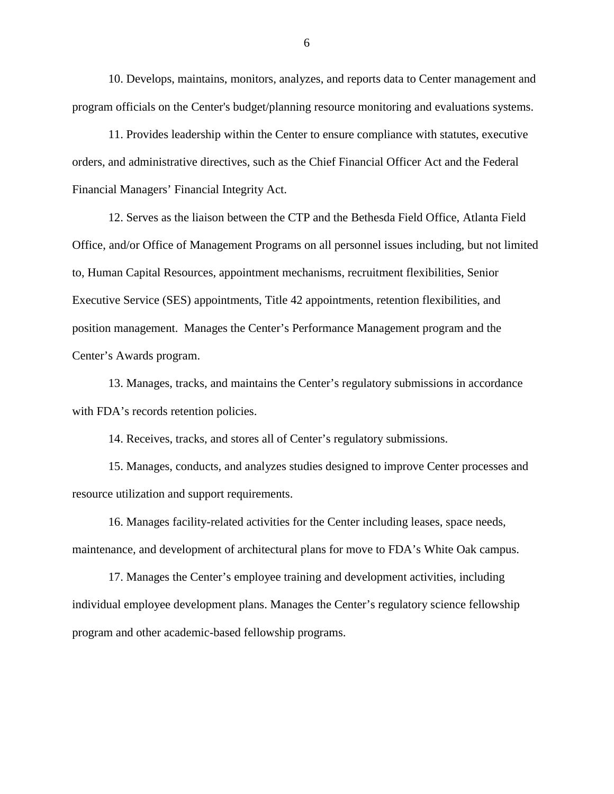10. Develops, maintains, monitors, analyzes, and reports data to Center management and program officials on the Center's budget/planning resource monitoring and evaluations systems.

11. Provides leadership within the Center to ensure compliance with statutes, executive orders, and administrative directives, such as the Chief Financial Officer Act and the Federal Financial Managers' Financial Integrity Act.

12. Serves as the liaison between the CTP and the Bethesda Field Office, Atlanta Field Office, and/or Office of Management Programs on all personnel issues including, but not limited to, Human Capital Resources, appointment mechanisms, recruitment flexibilities, Senior Executive Service (SES) appointments, Title 42 appointments, retention flexibilities, and position management. Manages the Center's Performance Management program and the Center's Awards program.

13. Manages, tracks, and maintains the Center's regulatory submissions in accordance with FDA's records retention policies.

14. Receives, tracks, and stores all of Center's regulatory submissions.

15. Manages, conducts, and analyzes studies designed to improve Center processes and resource utilization and support requirements.

16. Manages facility-related activities for the Center including leases, space needs, maintenance, and development of architectural plans for move to FDA's White Oak campus.

17. Manages the Center's employee training and development activities, including individual employee development plans. Manages the Center's regulatory science fellowship program and other academic-based fellowship programs.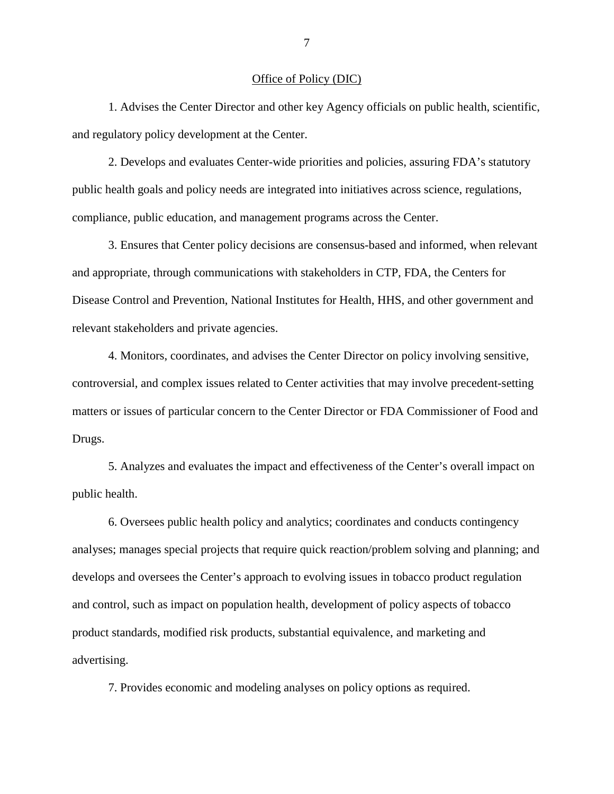### Office of Policy (DIC)

1. Advises the Center Director and other key Agency officials on public health, scientific, and regulatory policy development at the Center.

2. Develops and evaluates Center-wide priorities and policies, assuring FDA's statutory public health goals and policy needs are integrated into initiatives across science, regulations, compliance, public education, and management programs across the Center.

3. Ensures that Center policy decisions are consensus-based and informed, when relevant and appropriate, through communications with stakeholders in CTP, FDA, the Centers for Disease Control and Prevention, National Institutes for Health, HHS, and other government and relevant stakeholders and private agencies.

4. Monitors, coordinates, and advises the Center Director on policy involving sensitive, controversial, and complex issues related to Center activities that may involve precedent-setting matters or issues of particular concern to the Center Director or FDA Commissioner of Food and Drugs.

5. Analyzes and evaluates the impact and effectiveness of the Center's overall impact on public health.

6. Oversees public health policy and analytics; coordinates and conducts contingency analyses; manages special projects that require quick reaction/problem solving and planning; and develops and oversees the Center's approach to evolving issues in tobacco product regulation and control, such as impact on population health, development of policy aspects of tobacco product standards, modified risk products, substantial equivalence, and marketing and advertising.

7. Provides economic and modeling analyses on policy options as required.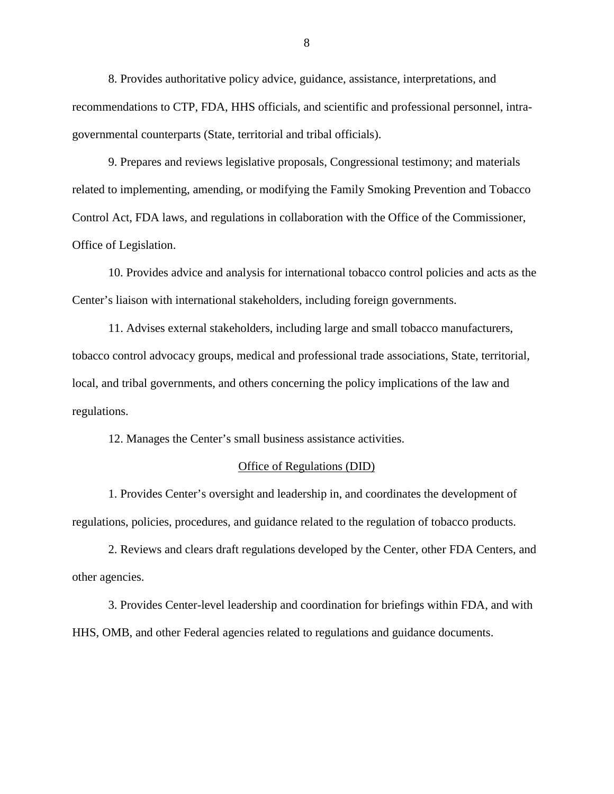8. Provides authoritative policy advice, guidance, assistance, interpretations, and recommendations to CTP, FDA, HHS officials, and scientific and professional personnel, intragovernmental counterparts (State, territorial and tribal officials).

9. Prepares and reviews legislative proposals, Congressional testimony; and materials related to implementing, amending, or modifying the Family Smoking Prevention and Tobacco Control Act, FDA laws, and regulations in collaboration with the Office of the Commissioner, Office of Legislation.

10. Provides advice and analysis for international tobacco control policies and acts as the Center's liaison with international stakeholders, including foreign governments.

11. Advises external stakeholders, including large and small tobacco manufacturers, tobacco control advocacy groups, medical and professional trade associations, State, territorial, local, and tribal governments, and others concerning the policy implications of the law and regulations.

12. Manages the Center's small business assistance activities.

### Office of Regulations (DID)

1. Provides Center's oversight and leadership in, and coordinates the development of regulations, policies, procedures, and guidance related to the regulation of tobacco products.

2. Reviews and clears draft regulations developed by the Center, other FDA Centers, and other agencies.

3. Provides Center-level leadership and coordination for briefings within FDA, and with HHS, OMB, and other Federal agencies related to regulations and guidance documents.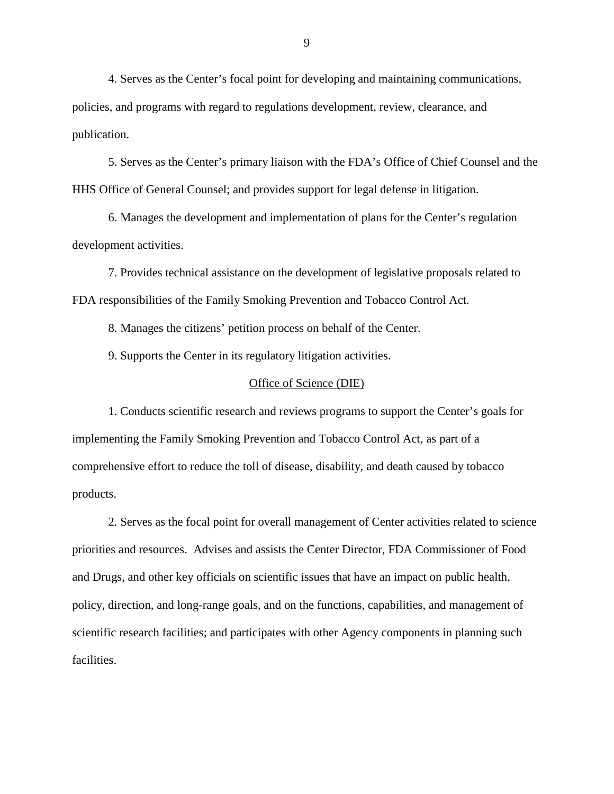4. Serves as the Center's focal point for developing and maintaining communications, policies, and programs with regard to regulations development, review, clearance, and publication.

5. Serves as the Center's primary liaison with the FDA's Office of Chief Counsel and the HHS Office of General Counsel; and provides support for legal defense in litigation.

6. Manages the development and implementation of plans for the Center's regulation development activities.

7. Provides technical assistance on the development of legislative proposals related to FDA responsibilities of the Family Smoking Prevention and Tobacco Control Act.

8. Manages the citizens' petition process on behalf of the Center.

9. Supports the Center in its regulatory litigation activities.

### Office of Science (DIE)

1. Conducts scientific research and reviews programs to support the Center's goals for implementing the Family Smoking Prevention and Tobacco Control Act, as part of a comprehensive effort to reduce the toll of disease, disability, and death caused by tobacco products.

2. Serves as the focal point for overall management of Center activities related to science priorities and resources. Advises and assists the Center Director, FDA Commissioner of Food and Drugs, and other key officials on scientific issues that have an impact on public health, policy, direction, and long-range goals, and on the functions, capabilities, and management of scientific research facilities; and participates with other Agency components in planning such facilities.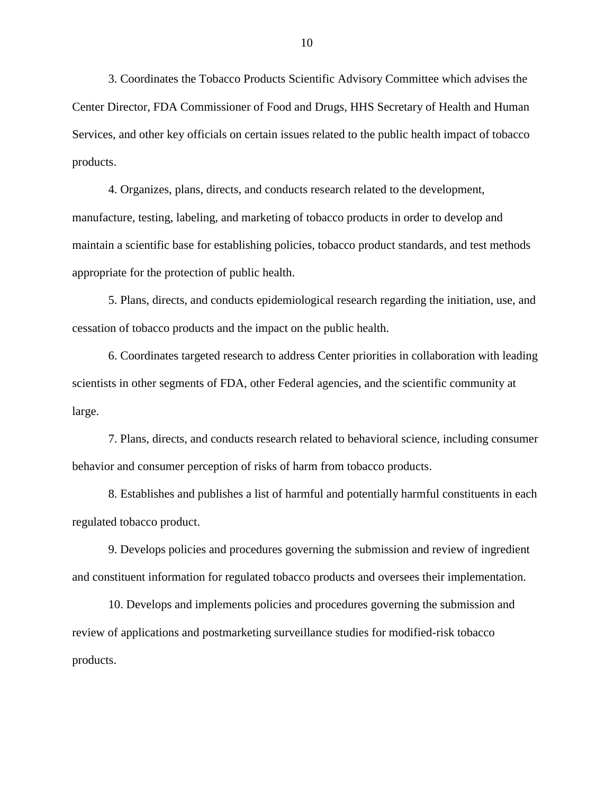3. Coordinates the Tobacco Products Scientific Advisory Committee which advises the Center Director, FDA Commissioner of Food and Drugs, HHS Secretary of Health and Human Services, and other key officials on certain issues related to the public health impact of tobacco products.

4. Organizes, plans, directs, and conducts research related to the development, manufacture, testing, labeling, and marketing of tobacco products in order to develop and maintain a scientific base for establishing policies, tobacco product standards, and test methods appropriate for the protection of public health.

5. Plans, directs, and conducts epidemiological research regarding the initiation, use, and cessation of tobacco products and the impact on the public health.

6. Coordinates targeted research to address Center priorities in collaboration with leading scientists in other segments of FDA, other Federal agencies, and the scientific community at large.

7. Plans, directs, and conducts research related to behavioral science, including consumer behavior and consumer perception of risks of harm from tobacco products.

8. Establishes and publishes a list of harmful and potentially harmful constituents in each regulated tobacco product.

9. Develops policies and procedures governing the submission and review of ingredient and constituent information for regulated tobacco products and oversees their implementation.

10. Develops and implements policies and procedures governing the submission and review of applications and postmarketing surveillance studies for modified-risk tobacco products.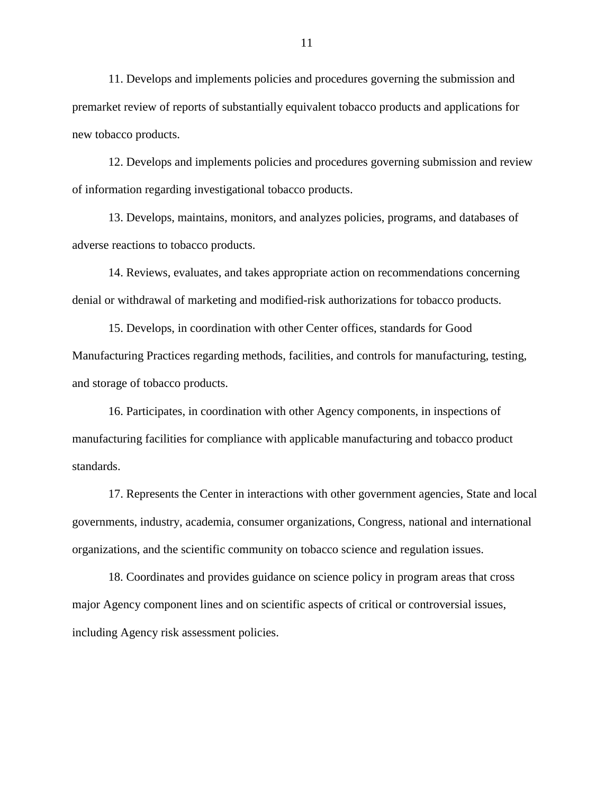11. Develops and implements policies and procedures governing the submission and premarket review of reports of substantially equivalent tobacco products and applications for new tobacco products.

12. Develops and implements policies and procedures governing submission and review of information regarding investigational tobacco products.

13. Develops, maintains, monitors, and analyzes policies, programs, and databases of adverse reactions to tobacco products.

14. Reviews, evaluates, and takes appropriate action on recommendations concerning denial or withdrawal of marketing and modified-risk authorizations for tobacco products.

15. Develops, in coordination with other Center offices, standards for Good Manufacturing Practices regarding methods, facilities, and controls for manufacturing, testing, and storage of tobacco products.

16. Participates, in coordination with other Agency components, in inspections of manufacturing facilities for compliance with applicable manufacturing and tobacco product standards.

17. Represents the Center in interactions with other government agencies, State and local governments, industry, academia, consumer organizations, Congress, national and international organizations, and the scientific community on tobacco science and regulation issues.

18. Coordinates and provides guidance on science policy in program areas that cross major Agency component lines and on scientific aspects of critical or controversial issues, including Agency risk assessment policies.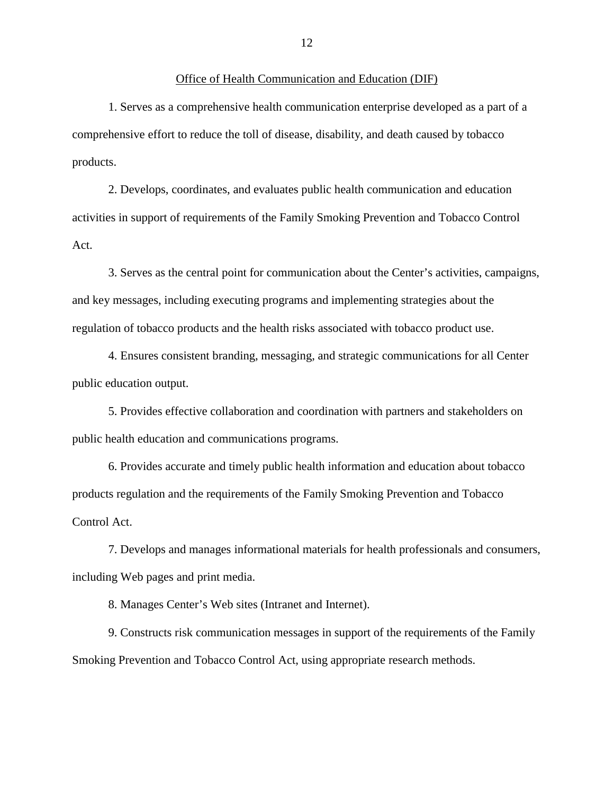### Office of Health Communication and Education (DIF)

1. Serves as a comprehensive health communication enterprise developed as a part of a comprehensive effort to reduce the toll of disease, disability, and death caused by tobacco products.

2. Develops, coordinates, and evaluates public health communication and education activities in support of requirements of the Family Smoking Prevention and Tobacco Control Act.

3. Serves as the central point for communication about the Center's activities, campaigns, and key messages, including executing programs and implementing strategies about the regulation of tobacco products and the health risks associated with tobacco product use.

4. Ensures consistent branding, messaging, and strategic communications for all Center public education output.

5. Provides effective collaboration and coordination with partners and stakeholders on public health education and communications programs.

6. Provides accurate and timely public health information and education about tobacco products regulation and the requirements of the Family Smoking Prevention and Tobacco Control Act.

7. Develops and manages informational materials for health professionals and consumers, including Web pages and print media.

8. Manages Center's Web sites (Intranet and Internet).

9. Constructs risk communication messages in support of the requirements of the Family Smoking Prevention and Tobacco Control Act, using appropriate research methods.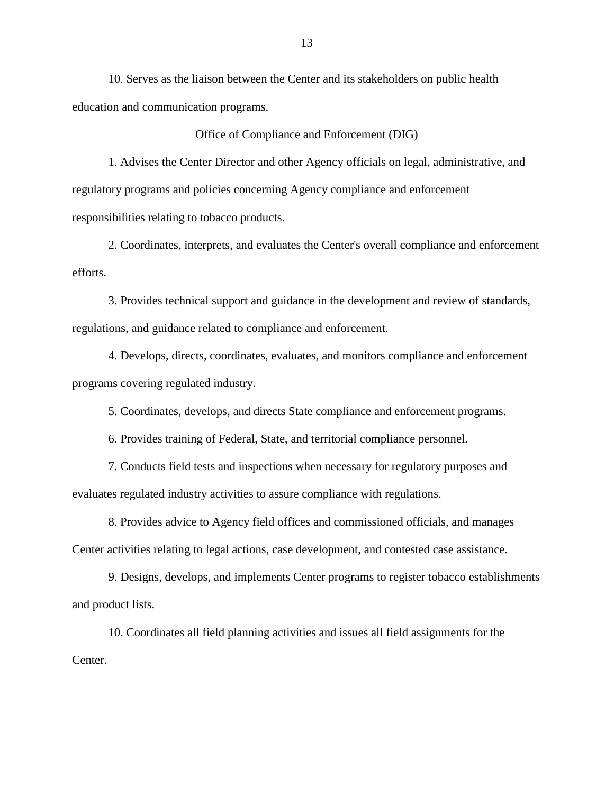10. Serves as the liaison between the Center and its stakeholders on public health education and communication programs.

### Office of Compliance and Enforcement (DIG)

1. Advises the Center Director and other Agency officials on legal, administrative, and regulatory programs and policies concerning Agency compliance and enforcement responsibilities relating to tobacco products.

2. Coordinates, interprets, and evaluates the Center's overall compliance and enforcement efforts.

3. Provides technical support and guidance in the development and review of standards, regulations, and guidance related to compliance and enforcement.

4. Develops, directs, coordinates, evaluates, and monitors compliance and enforcement programs covering regulated industry.

5. Coordinates, develops, and directs State compliance and enforcement programs.

6. Provides training of Federal, State, and territorial compliance personnel.

7. Conducts field tests and inspections when necessary for regulatory purposes and evaluates regulated industry activities to assure compliance with regulations.

8. Provides advice to Agency field offices and commissioned officials, and manages Center activities relating to legal actions, case development, and contested case assistance.

9. Designs, develops, and implements Center programs to register tobacco establishments and product lists.

10. Coordinates all field planning activities and issues all field assignments for the Center.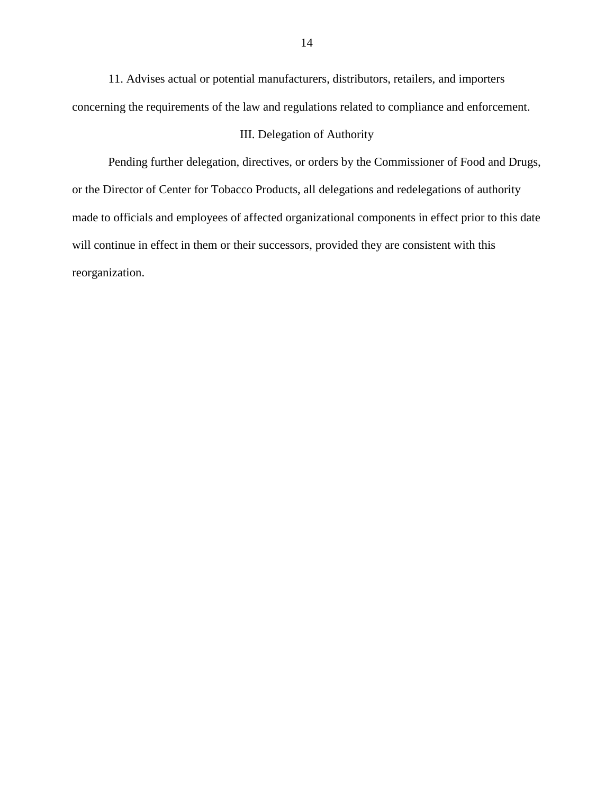11. Advises actual or potential manufacturers, distributors, retailers, and importers concerning the requirements of the law and regulations related to compliance and enforcement.

# III. Delegation of Authority

Pending further delegation, directives, or orders by the Commissioner of Food and Drugs, or the Director of Center for Tobacco Products, all delegations and redelegations of authority made to officials and employees of affected organizational components in effect prior to this date will continue in effect in them or their successors, provided they are consistent with this reorganization.